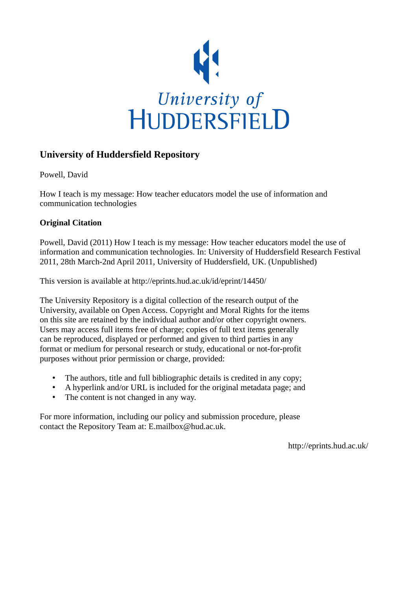

#### **University of Huddersfield Repository**

Powell, David

How I teach is my message: How teacher educators model the use of information and communication technologies

#### **Original Citation**

Powell, David (2011) How I teach is my message: How teacher educators model the use of information and communication technologies. In: University of Huddersfield Research Festival 2011, 28th March-2nd April 2011, University of Huddersfield, UK. (Unpublished)

This version is available at http://eprints.hud.ac.uk/id/eprint/14450/

The University Repository is a digital collection of the research output of the University, available on Open Access. Copyright and Moral Rights for the items on this site are retained by the individual author and/or other copyright owners. Users may access full items free of charge; copies of full text items generally can be reproduced, displayed or performed and given to third parties in any format or medium for personal research or study, educational or not-for-profit purposes without prior permission or charge, provided:

- The authors, title and full bibliographic details is credited in any copy;
- A hyperlink and/or URL is included for the original metadata page; and
- The content is not changed in any way.

For more information, including our policy and submission procedure, please contact the Repository Team at: E.mailbox@hud.ac.uk.

http://eprints.hud.ac.uk/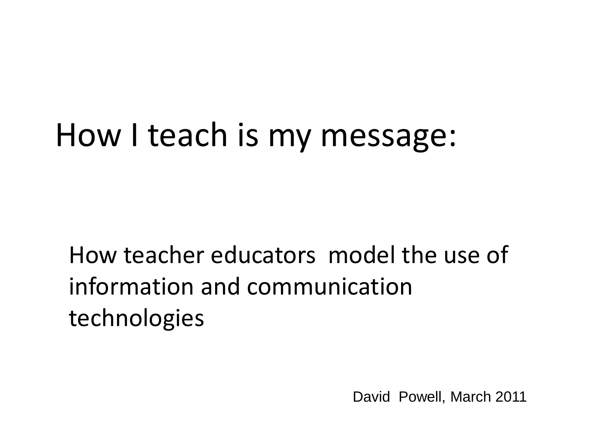## How I teach is my message:

How teacher educators model the use of information and communication technologies

David Powell, March 2011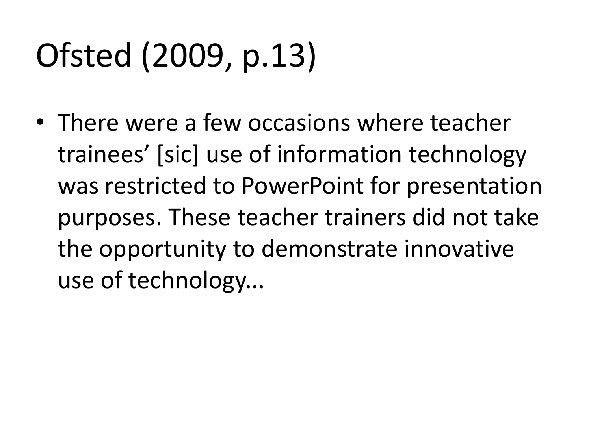# Ofsted (2009, p.13)

• There were a few occasions where teacher trainees' [sic] use of information technology was restricted to PowerPoint for presentation purposes. These teacher trainers did not take the opportunity to demonstrate innovative use of technology...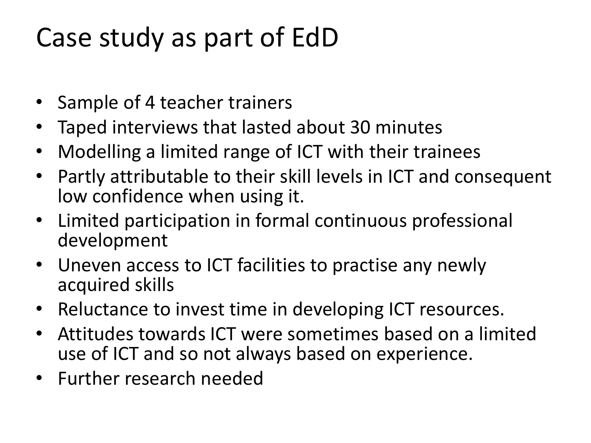#### Case study as part of EdD

- Sample of 4 teacher trainers
- Taped interviews that lasted about 30 minutes
- Modelling a limited range of ICT with their trainees
- Partly attributable to their skill levels in ICT and consequent low confidence when using it.
- Limited participation in formal continuous professional development
- Uneven access to ICT facilities to practise any newly acquired skills
- Reluctance to invest time in developing ICT resources.
- Attitudes towards ICT were sometimes based on a limited use of ICT and so not always based on experience.
- Further research needed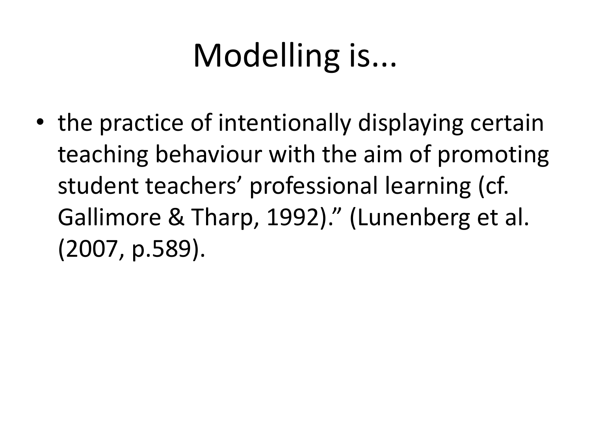# Modelling is...

• the practice of intentionally displaying certain teaching behaviour with the aim of promoting student teachers' professional learning (cf. Gallimore & Tharp, 1992)." (Lunenberg et al. (2007, p.589).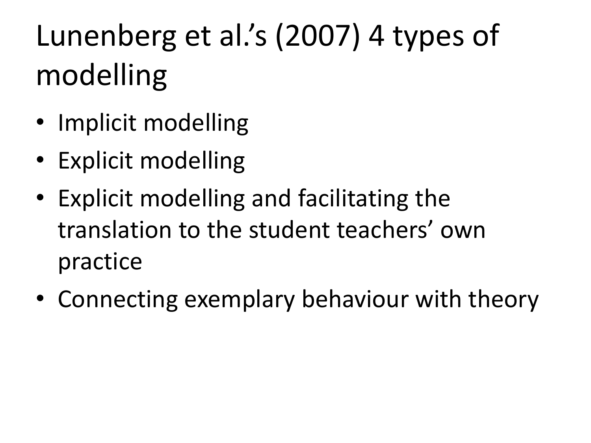# Lunenberg et al.'s (2007) 4 types of modelling

- Implicit modelling
- Explicit modelling
- Explicit modelling and facilitating the translation to the student teachers' own practice
- Connecting exemplary behaviour with theory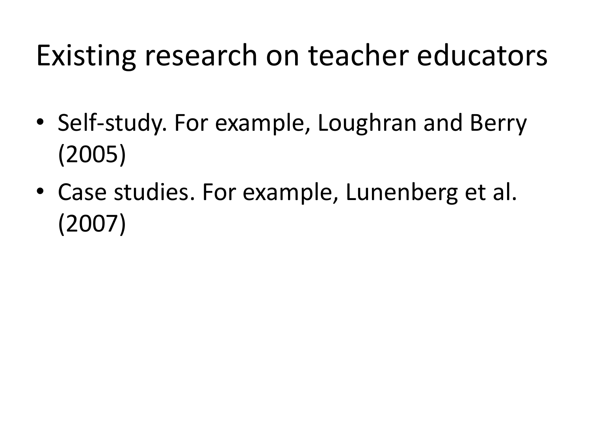### Existing research on teacher educators

- Self-study. For example, Loughran and Berry (2005)
- Case studies. For example, Lunenberg et al. (2007)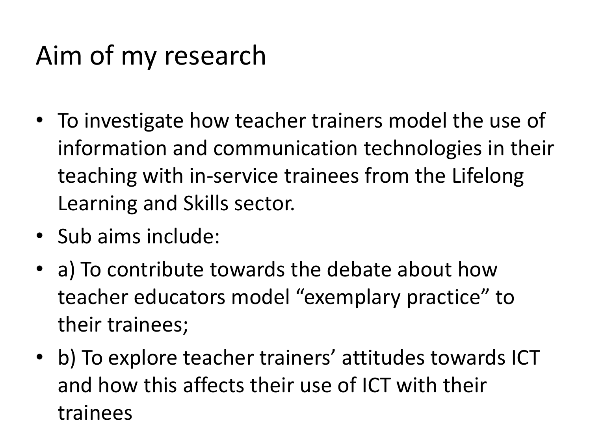### Aim of my research

- To investigate how teacher trainers model the use of information and communication technologies in their teaching with in-service trainees from the Lifelong Learning and Skills sector.
- Sub aims include:
- a) To contribute towards the debate about how teacher educators model "exemplary practice" to their trainees;
- b) To explore teacher trainers' attitudes towards ICT and how this affects their use of ICT with their trainees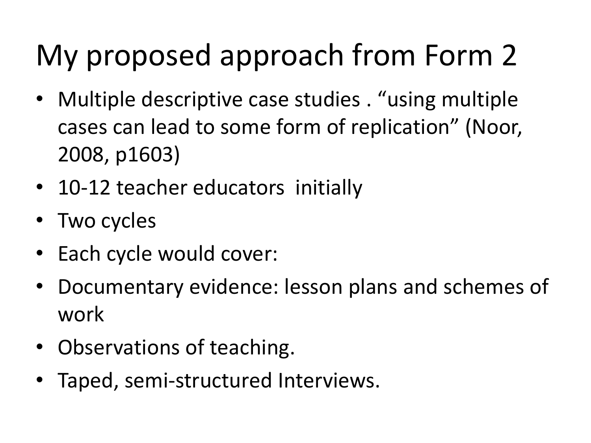# My proposed approach from Form 2

- Multiple descriptive case studies . "using multiple cases can lead to some form of replication" (Noor, 2008, p1603)
- 10-12 teacher educators initially
- Two cycles
- Each cycle would cover:
- Documentary evidence: lesson plans and schemes of work
- Observations of teaching.
- Taped, semi-structured Interviews.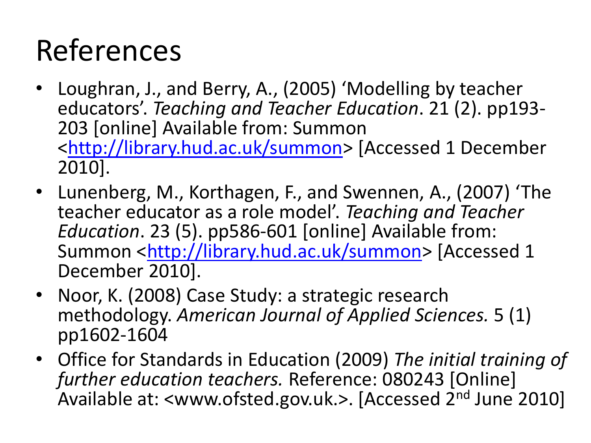## References

- Loughran, J., and Berry, A., (2005) 'Modelling by teacher educators'. *Teaching and Teacher Education*. 21 (2). pp193- 203 [online] Available from: Summon <[http://library.hud.ac.uk/summon>](http://library.hud.ac.uk/summon) [Accessed 1 December 2010].
- Lunenberg, M., Korthagen, F., and Swennen, A., (2007) 'The teacher educator as a role model'. *Teaching and Teacher Education*. 23 (5). pp586-601 [online] Available from: Summon <<http://library.hud.ac.uk/summon>> [Accessed 1 December 2010].
- Noor, K. (2008) Case Study: a strategic research methodology. *American Journal of Applied Sciences.* 5 (1) pp1602-1604
- Office for Standards in Education (2009) *The initial training of further education teachers.* Reference: 080243 [Online] Available at: <www.ofsted.gov.uk.>. [Accessed 2nd June 2010]